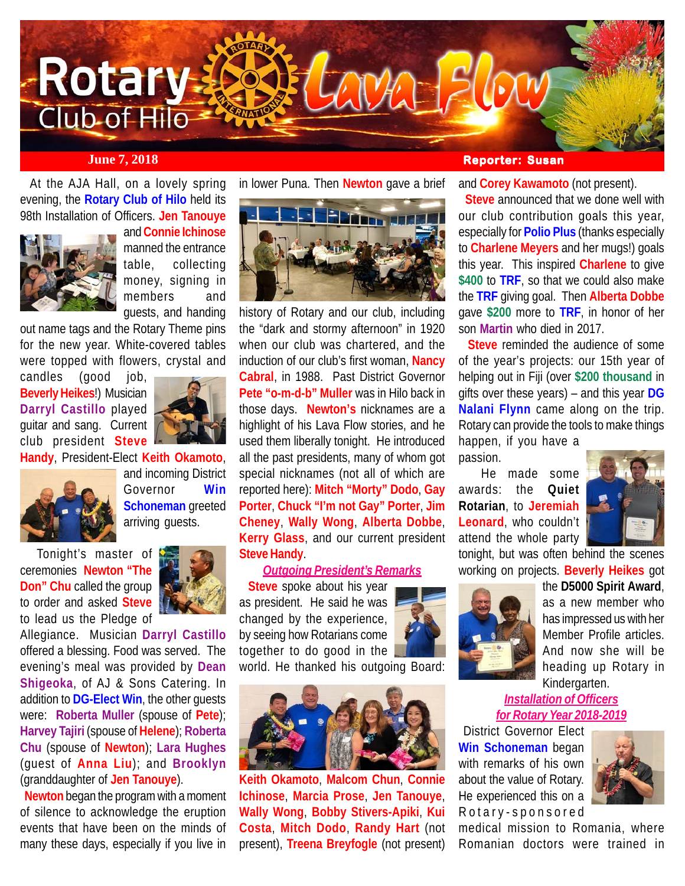

 At the AJA Hall, on a lovely spring evening, the **Rotary Club of Hilo** held its 98th Installation of Officers. **Jen Tanouye**



and **Connie Ichinose** manned the entrance table, collecting money, signing in members and guests, and handing

out name tags and the Rotary Theme pins for the new year. White-covered tables were topped with flowers, crystal and

candles (good job, **Beverly Heikes**!) Musician **Darryl Castillo** played guitar and sang. Current club president **Steve**



**Handy**, President-Elect **Keith Okamoto**,



and incoming District Governor **Win Schoneman** greeted arriving guests.

 Tonight's master of ceremonies **Newton "The Don" Chu** called the group to order and asked **Steve** to lead us the Pledge of



Allegiance. Musician **Darryl Castillo** offered a blessing. Food was served. The evening's meal was provided by **Dean Shigeoka**, of AJ & Sons Catering. In addition to **DG-Elect Win**, the other guests were: **Roberta Muller** (spouse of **Pete**); **Harvey Tajiri** (spouse of **Helene**); **Roberta Chu** (spouse of **Newton**); **Lara Hughes** (guest of **Anna Liu**); and **Brooklyn** (granddaughter of **Jen Tanouye**).

 **Newton** began the program with a moment of silence to acknowledge the eruption events that have been on the minds of many these days, especially if you live in

in lower Puna. Then **Newton** gave a brief



history of Rotary and our club, including the "dark and stormy afternoon" in 1920 when our club was chartered, and the induction of our club's first woman, **Nancy Cabral**, in 1988. Past District Governor **Pete "o-m-d-b" Muller** was in Hilo back in those days. **Newton's** nicknames are a highlight of his Lava Flow stories, and he used them liberally tonight. He introduced all the past presidents, many of whom got special nicknames (not all of which are reported here): **Mitch "Morty" Dodo**, **Gay Porter**, **Chuck "I'm not Gay" Porter**, **Jim Cheney**, **Wally Wong**, **Alberta Dobbe**, **Kerry Glass**, and our current president **Steve Handy**.

#### *Outgoing President's Remarks*

 **Steve** spoke about his year as president. He said he was changed by the experience, by seeing how Rotarians come together to do good in the world. He thanked his outgoing Board:



**Keith Okamoto**, **Malcom Chun**, **Connie Ichinose**, **Marcia Prose**, **Jen Tanouye**, **Wally Wong**, **Bobby Stivers-Apiki**, **Kui Costa**, **Mitch Dodo**, **Randy Hart** (not present), **Treena Breyfogle** (not present)

and **Corey Kawamoto** (not present).

 **Steve** announced that we done well with our club contribution goals this year, especially for **Polio Plus** (thanks especially to **Charlene Meyers** and her mugs!) goals this year. This inspired **Charlene** to give **\$400** to **TRF**, so that we could also make the **TRF** giving goal. Then **Alberta Dobbe** gave **\$200** more to **TRF**, in honor of her son **Martin** who died in 2017.

 **Steve** reminded the audience of some of the year's projects: our 15th year of helping out in Fiji (over **\$200 thousand** in gifts over these years) – and this year **DG Nalani Flynn** came along on the trip. Rotary can provide the tools to make things happen, if you have a

passion.

 He made some awards: the **Quiet Rotarian**, to **Jeremiah Leonard**, who couldn't attend the whole party



tonight, but was often behind the scenes working on projects. **Beverly Heikes** got



the **D5000 Spirit Award**, as a new member who has impressed us with her Member Profile articles. And now she will be heading up Rotary in Kindergarten.

*Installation of Officers for Rotary Year 2018-2019*

 District Governor Elect **Win Schoneman** began with remarks of his own about the value of Rotary. He experienced this on a Rotary-sponsored



medical mission to Romania, where Romanian doctors were trained in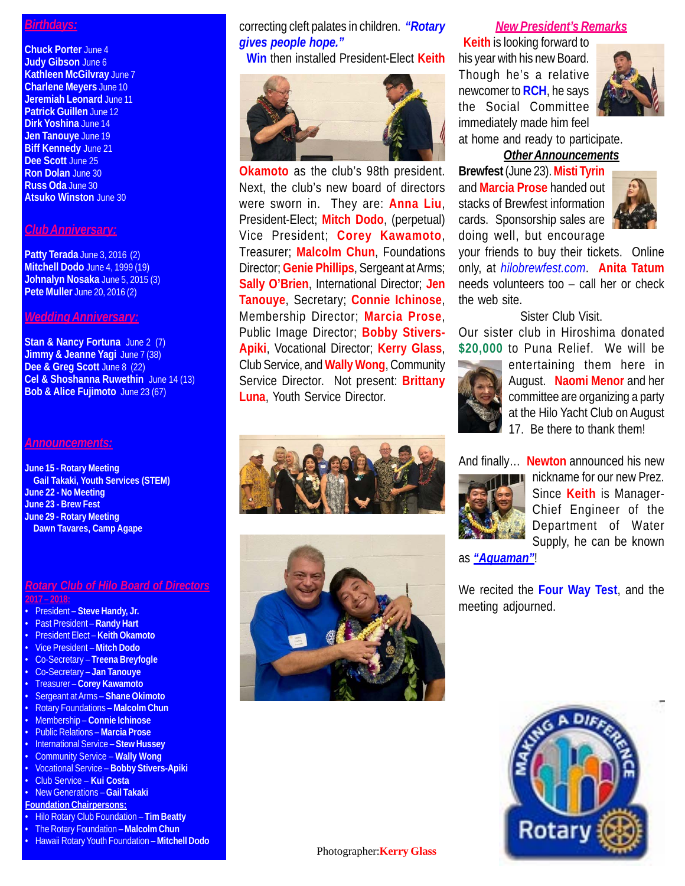### *Birthdays:*

**Chuck Porter** June 4 **Judy Gibson** June 6 **Kathleen McGilvray** June 7 **Charlene Meyers** June 10 **Jeremiah Leonard** June 11 **Patrick Guillen** June 12 **Dirk Yoshina** June 14 **Jen Tanouye** June 19 **Biff Kennedy** June 21 **Dee Scott** June 25 **Ron Dolan** June 30 **Russ Oda** June 30 **Atsuko Winston** June 30

#### *Club Anniversary:*

**Patty Terada** June 3, 2016 (2) **Mitchell Dodo** June 4, 1999 (19) **Johnalyn Nosaka** June 5, 2015 (3) **Pete Muller** June 20, 2016 (2)

#### *Wedding Anniversary:*

**Stan & Nancy Fortuna** June 2 (7) **Jimmy & Jeanne Yagi** June 7 (38) Dee & Greg Scott June 8 (22) **Cel & Shoshanna Ruwethin** June 14 (13) **Bob & Alice Fujimoto** June 23 (67)

#### *Announcements:*

**June 15 - Rotary Meeting Gail Takaki, Youth Services (STEM) June 22 - No Meeting June 23 - Brew Fest June 29 - Rotary Meeting Dawn Tavares, Camp Agape**

#### *Rotary Club of Hilo Board of Directors* **2017 – 2018:**

- President **Steve Handy, Jr.**
- Past President **Randy Hart**
- President Elect **Keith Okamoto**
- Vice President **Mitch Dodo**
- Co-Secretary **Treena Breyfogle**
- Co-Secretary **Jan Tanouye**
- Treasurer **Corey Kawamoto**
- Sergeant at Arms **Shane Okimoto**
- Rotary Foundations **Malcolm Chun**
- Membership **Connie Ichinose**
- Public Relations **Marcia Prose**
- International Service **Stew Hussey**
- Community Service **Wally Wong**
- Vocational Service **Bobby Stivers-Apiki**
- Club Service **Kui Costa**
- New Generations **Gail Takaki**
- **Foundation Chairpersons:**
- Hilo Rotary Club Foundation **Tim Beatty**
- The Rotary Foundation **Malcolm Chun**
- Hawaii Rotary Youth Foundation **Mitchell Dodo**

correcting cleft palates in children. *"Rotary gives people hope."*

**Win** then installed President-Elect **Keith**



**Okamoto** as the club's 98th president. Next, the club's new board of directors were sworn in. They are: **Anna Liu**, President-Elect; **Mitch Dodo**, (perpetual) Vice President; **Corey Kawamoto**, Treasurer; **Malcolm Chun**, Foundations Director; **Genie Phillips**, Sergeant at Arms; **Sally O'Brien**, International Director; **Jen Tanouye**, Secretary; **Connie Ichinose**, Membership Director; **Marcia Prose**, Public Image Director; **Bobby Stivers-Apiki**, Vocational Director; **Kerry Glass**, Club Service, and **Wally Wong**, Community Service Director. Not present: **Brittany Luna**, Youth Service Director.





#### *New President's Remarks*

 **Keith** is looking forward to his year with his new Board. Though he's a relative newcomer to **RCH**, he says the Social Committee immediately made him feel at home and ready to participate.



*Other Announcements*

**Brewfest** (June 23). **Misti Tyrin** and **Marcia Prose** handed out stacks of Brewfest information cards. Sponsorship sales are doing well, but encourage



your friends to buy their tickets. Online only, at *hilobrewfest.com*. **Anita Tatum** needs volunteers too – call her or check the web site.

### Sister Club Visit.

Our sister club in Hiroshima donated **\$20,000** to Puna Relief. We will be



entertaining them here in August. **Naomi Menor** and her committee are organizing a party at the Hilo Yacht Club on August 17. Be there to thank them!

And finally… **Newton** announced his new



nickname for our new Prez. Since **Keith** is Manager-Chief Engineer of the Department of Water Supply, he can be known

as *"Aquaman"*!

We recited the **Four Way Test**, and the meeting adjourned.